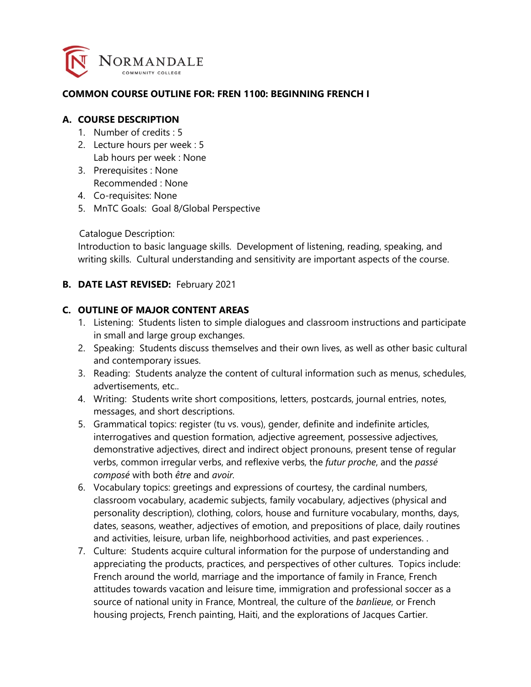

#### **COMMON COURSE OUTLINE FOR: FREN 1100: BEGINNING FRENCH I**

## **A. COURSE DESCRIPTION**

- 1. Number of credits : 5
- 2. Lecture hours per week : 5 Lab hours per week : None
- 3. Prerequisites : None Recommended : None
- 4. Co-requisites: None
- 5. MnTC Goals: Goal 8/Global Perspective

#### Catalogue Description:

Introduction to basic language skills. Development of listening, reading, speaking, and writing skills. Cultural understanding and sensitivity are important aspects of the course.

## **B. DATE LAST REVISED:** February 2021

## **C. OUTLINE OF MAJOR CONTENT AREAS**

- 1. Listening: Students listen to simple dialogues and classroom instructions and participate in small and large group exchanges.
- 2. Speaking: Students discuss themselves and their own lives, as well as other basic cultural and contemporary issues.
- 3. Reading: Students analyze the content of cultural information such as menus, schedules, advertisements, etc..
- 4. Writing: Students write short compositions, letters, postcards, journal entries, notes, messages, and short descriptions.
- 5. Grammatical topics: register (tu vs. vous), gender, definite and indefinite articles, interrogatives and question formation, adjective agreement, possessive adjectives, demonstrative adjectives, direct and indirect object pronouns, present tense of regular verbs, common irregular verbs, and reflexive verbs, the *futur proche*, and the *passé composé* with both *être* and *avoir.*
- 6. Vocabulary topics: greetings and expressions of courtesy, the cardinal numbers, classroom vocabulary, academic subjects, family vocabulary, adjectives (physical and personality description), clothing, colors, house and furniture vocabulary, months, days, dates, seasons, weather, adjectives of emotion, and prepositions of place, daily routines and activities, leisure, urban life, neighborhood activities, and past experiences. .
- 7. Culture: Students acquire cultural information for the purpose of understanding and appreciating the products, practices, and perspectives of other cultures. Topics include: French around the world, marriage and the importance of family in France, French attitudes towards vacation and leisure time, immigration and professional soccer as a source of national unity in France, Montreal, the culture of the *banlieue*, or French housing projects, French painting, Haiti, and the explorations of Jacques Cartier.